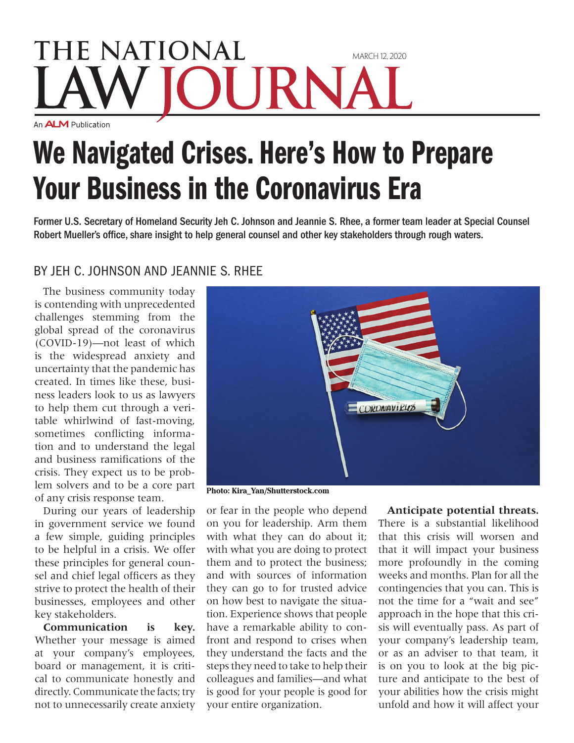## **THE NATIONAL** March 12, 2020 URNA An **ALM** Publication

## We Navigated Crises. Here's How to Prepare Your Business in the Coronavirus Era

Former U.S. Secretary of Homeland Security Jeh C. Johnson and Jeannie S. Rhee, a former team leader at Special Counsel Robert Mueller's office, share insight to help general counsel and other key stakeholders through rough waters.

## By Jeh C. Johnson and Jeannie S. Rhee

The business community today is contending with unprecedented challenges stemming from the global spread of the coronavirus (COVID-19)—not least of which is the widespread anxiety and uncertainty that the pandemic has created. In times like these, business leaders look to us as lawyers to help them cut through a veritable whirlwind of fast-moving, sometimes conflicting information and to understand the legal and business ramifications of the crisis. They expect us to be problem solvers and to be a core part of any crisis response team.

During our years of leadership in government service we found a few simple, guiding principles to be helpful in a crisis. We offer these principles for general counsel and chief legal officers as they strive to protect the health of their businesses, employees and other key stakeholders.

**Communication is key.**  Whether your message is aimed at your company's employees, board or management, it is critical to communicate honestly and directly. Communicate the facts; try not to unnecessarily create anxiety



**Photo: Kira\_Yan/Shutterstock.com**

or fear in the people who depend on you for leadership. Arm them with what they can do about it; with what you are doing to protect them and to protect the business; and with sources of information they can go to for trusted advice on how best to navigate the situation. Experience shows that people have a remarkable ability to confront and respond to crises when they understand the facts and the steps they need to take to help their colleagues and families—and what is good for your people is good for your entire organization.

## **Anticipate potential threats.**  There is a substantial likelihood that this crisis will worsen and that it will impact your business more profoundly in the coming weeks and months. Plan for all the contingencies that you can. This is not the time for a "wait and see" approach in the hope that this crisis will eventually pass. As part of your company's leadership team, or as an adviser to that team, it is on you to look at the big picture and anticipate to the best of your abilities how the crisis might unfold and how it will affect your